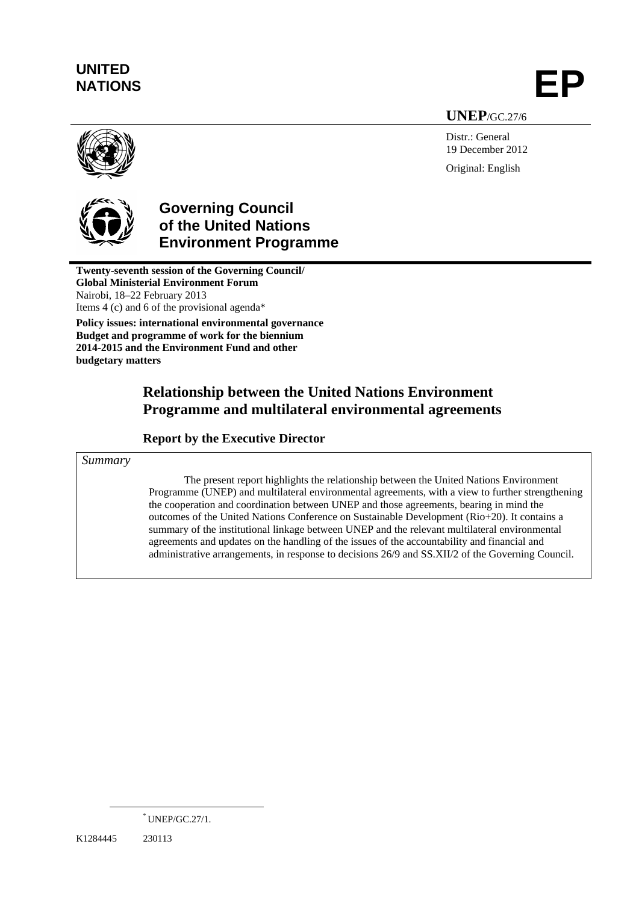# **UNITED**

NATIONS **EP** 

**UNEP**/GC.27/6

Distr.: General 19 December 2012 Original: English





## **Governing Council of the United Nations Environment Programme**

**Twenty-seventh session of the Governing Council/ Global Ministerial Environment Forum**  Nairobi, 18–22 February 2013 Items 4 (c) and 6 of the provisional agenda\* **Policy issues: international environmental governance** 

**Budget and programme of work for the biennium 2014-2015 and the Environment Fund and other budgetary matters** 

## **Relationship between the United Nations Environment Programme and multilateral environmental agreements**

#### **Report by the Executive Director**

*Summary* 

The present report highlights the relationship between the United Nations Environment Programme (UNEP) and multilateral environmental agreements, with a view to further strengthening the cooperation and coordination between UNEP and those agreements, bearing in mind the outcomes of the United Nations Conference on Sustainable Development (Rio+20). It contains a summary of the institutional linkage between UNEP and the relevant multilateral environmental agreements and updates on the handling of the issues of the accountability and financial and administrative arrangements, in response to decisions 26/9 and SS.XII/2 of the Governing Council.

 <sup>\*</sup> UNEP/GC.27/1.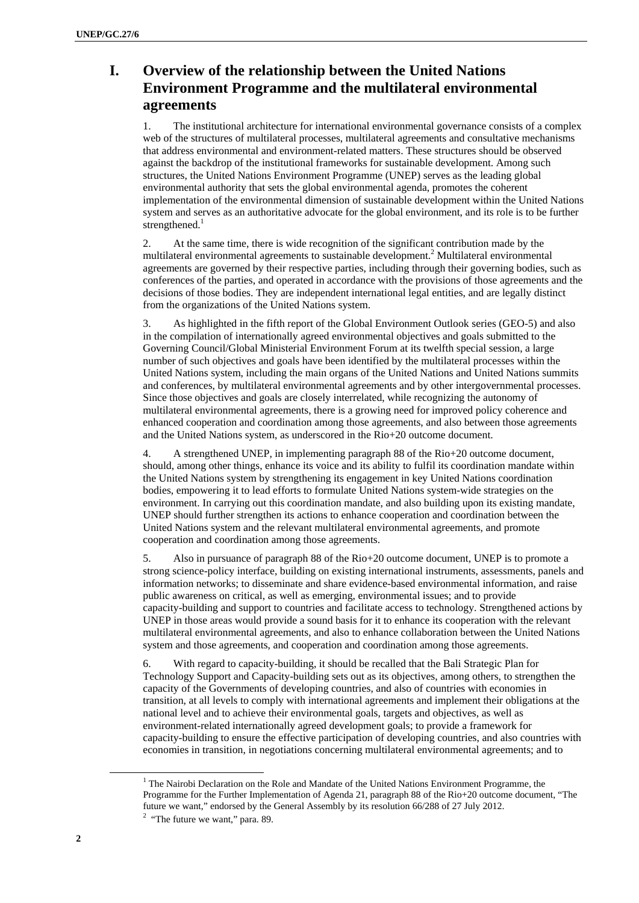## **I. Overview of the relationship between the United Nations Environment Programme and the multilateral environmental agreements**

1. The institutional architecture for international environmental governance consists of a complex web of the structures of multilateral processes, multilateral agreements and consultative mechanisms that address environmental and environment-related matters. These structures should be observed against the backdrop of the institutional frameworks for sustainable development. Among such structures, the United Nations Environment Programme (UNEP) serves as the leading global environmental authority that sets the global environmental agenda, promotes the coherent implementation of the environmental dimension of sustainable development within the United Nations system and serves as an authoritative advocate for the global environment, and its role is to be further strengthened. $1$ 

2. At the same time, there is wide recognition of the significant contribution made by the multilateral environmental agreements to sustainable development.<sup>2</sup> Multilateral environmental agreements are governed by their respective parties, including through their governing bodies, such as conferences of the parties, and operated in accordance with the provisions of those agreements and the decisions of those bodies. They are independent international legal entities, and are legally distinct from the organizations of the United Nations system.

3. As highlighted in the fifth report of the Global Environment Outlook series (GEO-5) and also in the compilation of internationally agreed environmental objectives and goals submitted to the Governing Council/Global Ministerial Environment Forum at its twelfth special session, a large number of such objectives and goals have been identified by the multilateral processes within the United Nations system, including the main organs of the United Nations and United Nations summits and conferences, by multilateral environmental agreements and by other intergovernmental processes. Since those objectives and goals are closely interrelated, while recognizing the autonomy of multilateral environmental agreements, there is a growing need for improved policy coherence and enhanced cooperation and coordination among those agreements, and also between those agreements and the United Nations system, as underscored in the Rio+20 outcome document.

4. A strengthened UNEP, in implementing paragraph 88 of the Rio+20 outcome document, should, among other things, enhance its voice and its ability to fulfil its coordination mandate within the United Nations system by strengthening its engagement in key United Nations coordination bodies, empowering it to lead efforts to formulate United Nations system-wide strategies on the environment. In carrying out this coordination mandate, and also building upon its existing mandate, UNEP should further strengthen its actions to enhance cooperation and coordination between the United Nations system and the relevant multilateral environmental agreements, and promote cooperation and coordination among those agreements.

5. Also in pursuance of paragraph 88 of the Rio+20 outcome document, UNEP is to promote a strong science-policy interface, building on existing international instruments, assessments, panels and information networks; to disseminate and share evidence-based environmental information, and raise public awareness on critical, as well as emerging, environmental issues; and to provide capacity-building and support to countries and facilitate access to technology. Strengthened actions by UNEP in those areas would provide a sound basis for it to enhance its cooperation with the relevant multilateral environmental agreements, and also to enhance collaboration between the United Nations system and those agreements, and cooperation and coordination among those agreements.

6. With regard to capacity-building, it should be recalled that the Bali Strategic Plan for Technology Support and Capacity-building sets out as its objectives, among others, to strengthen the capacity of the Governments of developing countries, and also of countries with economies in transition, at all levels to comply with international agreements and implement their obligations at the national level and to achieve their environmental goals, targets and objectives, as well as environment-related internationally agreed development goals; to provide a framework for capacity-building to ensure the effective participation of developing countries, and also countries with economies in transition, in negotiations concerning multilateral environmental agreements; and to

 $\frac{1}{1}$  $1$  The Nairobi Declaration on the Role and Mandate of the United Nations Environment Programme, the Programme for the Further Implementation of Agenda 21, paragraph 88 of the Rio+20 outcome document, "The future we want," endorsed by the General Assembly by its resolution 66/288 of 27 July 2012. 2

 $2$  "The future we want," para. 89.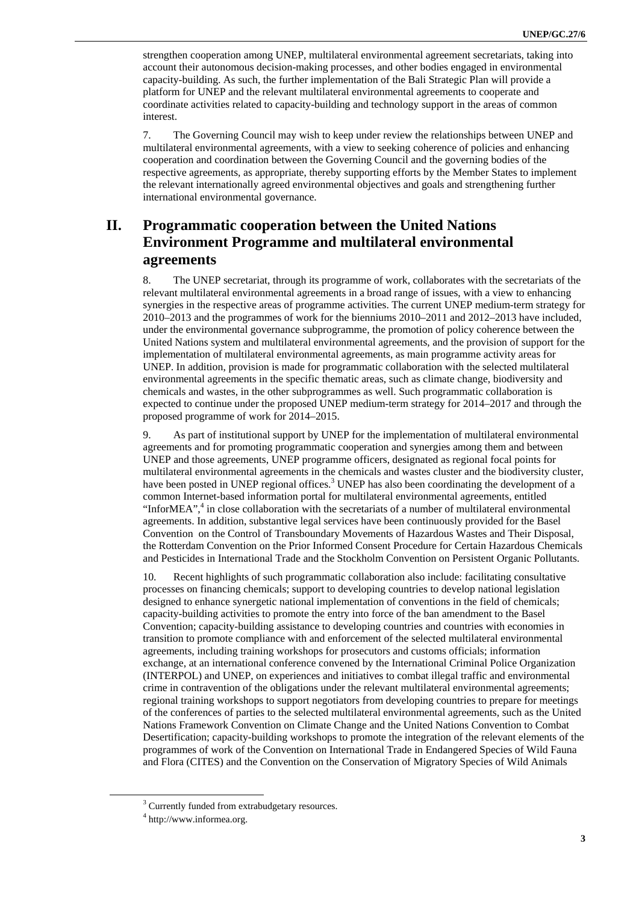strengthen cooperation among UNEP, multilateral environmental agreement secretariats, taking into account their autonomous decision-making processes, and other bodies engaged in environmental capacity-building. As such, the further implementation of the Bali Strategic Plan will provide a platform for UNEP and the relevant multilateral environmental agreements to cooperate and coordinate activities related to capacity-building and technology support in the areas of common interest.

7. The Governing Council may wish to keep under review the relationships between UNEP and multilateral environmental agreements, with a view to seeking coherence of policies and enhancing cooperation and coordination between the Governing Council and the governing bodies of the respective agreements, as appropriate, thereby supporting efforts by the Member States to implement the relevant internationally agreed environmental objectives and goals and strengthening further international environmental governance.

#### **II. Programmatic cooperation between the United Nations Environment Programme and multilateral environmental agreements**

8. The UNEP secretariat, through its programme of work, collaborates with the secretariats of the relevant multilateral environmental agreements in a broad range of issues, with a view to enhancing synergies in the respective areas of programme activities. The current UNEP medium-term strategy for 2010–2013 and the programmes of work for the bienniums 2010–2011 and 2012–2013 have included, under the environmental governance subprogramme, the promotion of policy coherence between the United Nations system and multilateral environmental agreements, and the provision of support for the implementation of multilateral environmental agreements, as main programme activity areas for UNEP. In addition, provision is made for programmatic collaboration with the selected multilateral environmental agreements in the specific thematic areas, such as climate change, biodiversity and chemicals and wastes, in the other subprogrammes as well. Such programmatic collaboration is expected to continue under the proposed UNEP medium-term strategy for 2014–2017 and through the proposed programme of work for 2014–2015.

9. As part of institutional support by UNEP for the implementation of multilateral environmental agreements and for promoting programmatic cooperation and synergies among them and between UNEP and those agreements, UNEP programme officers, designated as regional focal points for multilateral environmental agreements in the chemicals and wastes cluster and the biodiversity cluster, have been posted in UNEP regional offices.<sup>3</sup> UNEP has also been coordinating the development of a common Internet-based information portal for multilateral environmental agreements, entitled "InforMEA",<sup>4</sup> in close collaboration with the secretariats of a number of multilateral environmental agreements. In addition, substantive legal services have been continuously provided for the Basel Convention on the Control of Transboundary Movements of Hazardous Wastes and Their Disposal, the Rotterdam Convention on the Prior Informed Consent Procedure for Certain Hazardous Chemicals and Pesticides in International Trade and the Stockholm Convention on Persistent Organic Pollutants.

10. Recent highlights of such programmatic collaboration also include: facilitating consultative processes on financing chemicals; support to developing countries to develop national legislation designed to enhance synergetic national implementation of conventions in the field of chemicals; capacity-building activities to promote the entry into force of the ban amendment to the Basel Convention; capacity-building assistance to developing countries and countries with economies in transition to promote compliance with and enforcement of the selected multilateral environmental agreements, including training workshops for prosecutors and customs officials; information exchange, at an international conference convened by the International Criminal Police Organization (INTERPOL) and UNEP, on experiences and initiatives to combat illegal traffic and environmental crime in contravention of the obligations under the relevant multilateral environmental agreements; regional training workshops to support negotiators from developing countries to prepare for meetings of the conferences of parties to the selected multilateral environmental agreements, such as the United Nations Framework Convention on Climate Change and the United Nations Convention to Combat Desertification; capacity-building workshops to promote the integration of the relevant elements of the programmes of work of the Convention on International Trade in Endangered Species of Wild Fauna and Flora (CITES) and the Convention on the Conservation of Migratory Species of Wild Animals

 <sup>3</sup> <sup>3</sup> Currently funded from extrabudgetary resources.

<sup>4</sup> http://www.informea.org.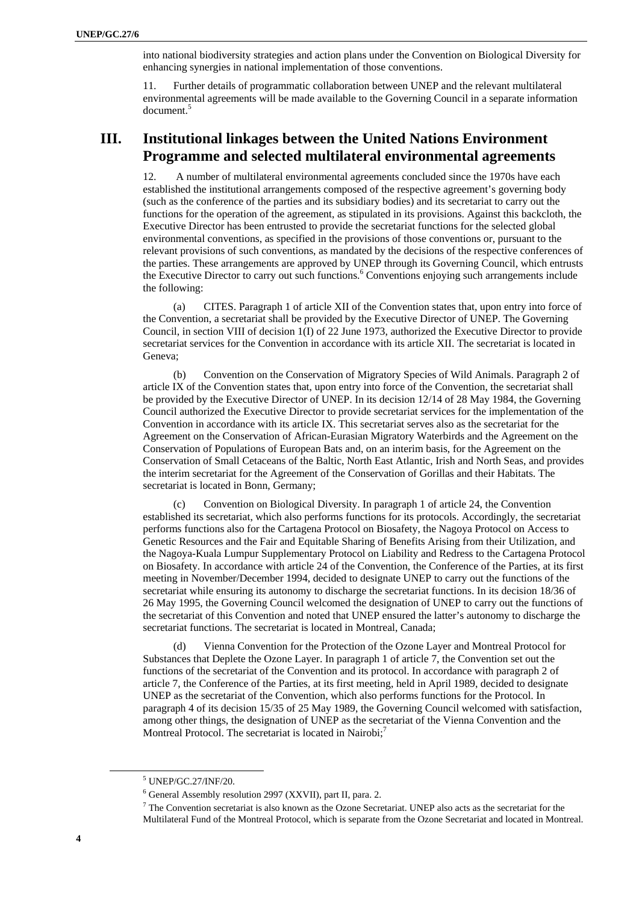into national biodiversity strategies and action plans under the Convention on Biological Diversity for enhancing synergies in national implementation of those conventions.

11. Further details of programmatic collaboration between UNEP and the relevant multilateral environmental agreements will be made available to the Governing Council in a separate information document.<sup>5</sup>

#### **III. Institutional linkages between the United Nations Environment Programme and selected multilateral environmental agreements**

12. A number of multilateral environmental agreements concluded since the 1970s have each established the institutional arrangements composed of the respective agreement's governing body (such as the conference of the parties and its subsidiary bodies) and its secretariat to carry out the functions for the operation of the agreement, as stipulated in its provisions. Against this backcloth, the Executive Director has been entrusted to provide the secretariat functions for the selected global environmental conventions, as specified in the provisions of those conventions or, pursuant to the relevant provisions of such conventions, as mandated by the decisions of the respective conferences of the parties. These arrangements are approved by UNEP through its Governing Council, which entrusts the Executive Director to carry out such functions.<sup>6</sup> Conventions enjoying such arrangements include the following:

(a) CITES. Paragraph 1 of article XII of the Convention states that, upon entry into force of the Convention, a secretariat shall be provided by the Executive Director of UNEP. The Governing Council, in section VIII of decision 1(I) of 22 June 1973, authorized the Executive Director to provide secretariat services for the Convention in accordance with its article XII. The secretariat is located in Geneva;

(b) Convention on the Conservation of Migratory Species of Wild Animals. Paragraph 2 of article IX of the Convention states that, upon entry into force of the Convention, the secretariat shall be provided by the Executive Director of UNEP. In its decision 12/14 of 28 May 1984, the Governing Council authorized the Executive Director to provide secretariat services for the implementation of the Convention in accordance with its article IX. This secretariat serves also as the secretariat for the Agreement on the Conservation of African-Eurasian Migratory Waterbirds and the Agreement on the Conservation of Populations of European Bats and, on an interim basis, for the Agreement on the Conservation of Small Cetaceans of the Baltic, North East Atlantic, Irish and North Seas, and provides the interim secretariat for the Agreement of the Conservation of Gorillas and their Habitats. The secretariat is located in Bonn, Germany;

Convention on Biological Diversity. In paragraph 1 of article 24, the Convention established its secretariat, which also performs functions for its protocols. Accordingly, the secretariat performs functions also for the Cartagena Protocol on Biosafety, the Nagoya Protocol on Access to Genetic Resources and the Fair and Equitable Sharing of Benefits Arising from their Utilization, and the Nagoya-Kuala Lumpur Supplementary Protocol on Liability and Redress to the Cartagena Protocol on Biosafety. In accordance with article 24 of the Convention, the Conference of the Parties, at its first meeting in November/December 1994, decided to designate UNEP to carry out the functions of the secretariat while ensuring its autonomy to discharge the secretariat functions. In its decision 18/36 of 26 May 1995, the Governing Council welcomed the designation of UNEP to carry out the functions of the secretariat of this Convention and noted that UNEP ensured the latter's autonomy to discharge the secretariat functions. The secretariat is located in Montreal, Canada;

Vienna Convention for the Protection of the Ozone Layer and Montreal Protocol for Substances that Deplete the Ozone Layer. In paragraph 1 of article 7, the Convention set out the functions of the secretariat of the Convention and its protocol. In accordance with paragraph 2 of article 7, the Conference of the Parties, at its first meeting, held in April 1989, decided to designate UNEP as the secretariat of the Convention, which also performs functions for the Protocol. In paragraph 4 of its decision 15/35 of 25 May 1989, the Governing Council welcomed with satisfaction, among other things, the designation of UNEP as the secretariat of the Vienna Convention and the Montreal Protocol. The secretariat is located in Nairobi;<sup>7</sup>

 $\frac{1}{5}$ UNEP/GC.27/INF/20.

<sup>&</sup>lt;sup>6</sup> General Assembly resolution 2997 (XXVII), part II, para. 2.<br><sup>7</sup> The Convention secretarist is also known as the Ozone Secret

 $\frac{7}{7}$  The Convention secretariat is also known as the Ozone Secretariat. UNEP also acts as the secretariat for the Multilateral Fund of the Montreal Protocol, which is separate from the Ozone Secretariat and located in Montreal.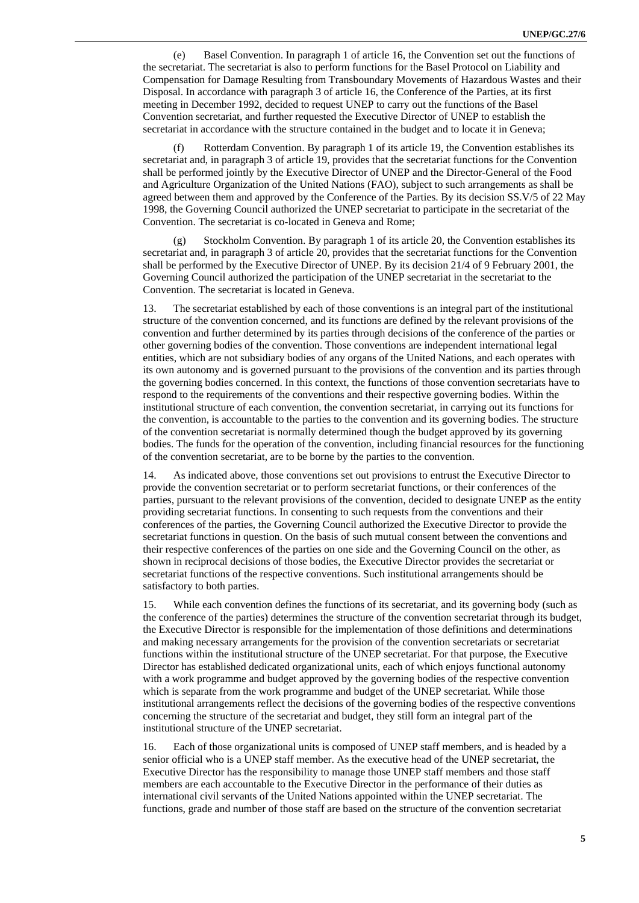(e) Basel Convention. In paragraph 1 of article 16, the Convention set out the functions of the secretariat. The secretariat is also to perform functions for the Basel Protocol on Liability and Compensation for Damage Resulting from Transboundary Movements of Hazardous Wastes and their Disposal. In accordance with paragraph 3 of article 16, the Conference of the Parties, at its first meeting in December 1992, decided to request UNEP to carry out the functions of the Basel Convention secretariat, and further requested the Executive Director of UNEP to establish the secretariat in accordance with the structure contained in the budget and to locate it in Geneva;

(f) Rotterdam Convention. By paragraph 1 of its article 19, the Convention establishes its secretariat and, in paragraph 3 of article 19, provides that the secretariat functions for the Convention shall be performed jointly by the Executive Director of UNEP and the Director-General of the Food and Agriculture Organization of the United Nations (FAO), subject to such arrangements as shall be agreed between them and approved by the Conference of the Parties. By its decision SS.V/5 of 22 May 1998, the Governing Council authorized the UNEP secretariat to participate in the secretariat of the Convention. The secretariat is co-located in Geneva and Rome;

(g) Stockholm Convention. By paragraph 1 of its article 20, the Convention establishes its secretariat and, in paragraph 3 of article 20, provides that the secretariat functions for the Convention shall be performed by the Executive Director of UNEP. By its decision 21/4 of 9 February 2001, the Governing Council authorized the participation of the UNEP secretariat in the secretariat to the Convention. The secretariat is located in Geneva.

13. The secretariat established by each of those conventions is an integral part of the institutional structure of the convention concerned, and its functions are defined by the relevant provisions of the convention and further determined by its parties through decisions of the conference of the parties or other governing bodies of the convention. Those conventions are independent international legal entities, which are not subsidiary bodies of any organs of the United Nations, and each operates with its own autonomy and is governed pursuant to the provisions of the convention and its parties through the governing bodies concerned. In this context, the functions of those convention secretariats have to respond to the requirements of the conventions and their respective governing bodies. Within the institutional structure of each convention, the convention secretariat, in carrying out its functions for the convention, is accountable to the parties to the convention and its governing bodies. The structure of the convention secretariat is normally determined though the budget approved by its governing bodies. The funds for the operation of the convention, including financial resources for the functioning of the convention secretariat, are to be borne by the parties to the convention.

14. As indicated above, those conventions set out provisions to entrust the Executive Director to provide the convention secretariat or to perform secretariat functions, or their conferences of the parties, pursuant to the relevant provisions of the convention, decided to designate UNEP as the entity providing secretariat functions. In consenting to such requests from the conventions and their conferences of the parties, the Governing Council authorized the Executive Director to provide the secretariat functions in question. On the basis of such mutual consent between the conventions and their respective conferences of the parties on one side and the Governing Council on the other, as shown in reciprocal decisions of those bodies, the Executive Director provides the secretariat or secretariat functions of the respective conventions. Such institutional arrangements should be satisfactory to both parties.

15. While each convention defines the functions of its secretariat, and its governing body (such as the conference of the parties) determines the structure of the convention secretariat through its budget, the Executive Director is responsible for the implementation of those definitions and determinations and making necessary arrangements for the provision of the convention secretariats or secretariat functions within the institutional structure of the UNEP secretariat. For that purpose, the Executive Director has established dedicated organizational units, each of which enjoys functional autonomy with a work programme and budget approved by the governing bodies of the respective convention which is separate from the work programme and budget of the UNEP secretariat. While those institutional arrangements reflect the decisions of the governing bodies of the respective conventions concerning the structure of the secretariat and budget, they still form an integral part of the institutional structure of the UNEP secretariat.

16. Each of those organizational units is composed of UNEP staff members, and is headed by a senior official who is a UNEP staff member. As the executive head of the UNEP secretariat, the Executive Director has the responsibility to manage those UNEP staff members and those staff members are each accountable to the Executive Director in the performance of their duties as international civil servants of the United Nations appointed within the UNEP secretariat. The functions, grade and number of those staff are based on the structure of the convention secretariat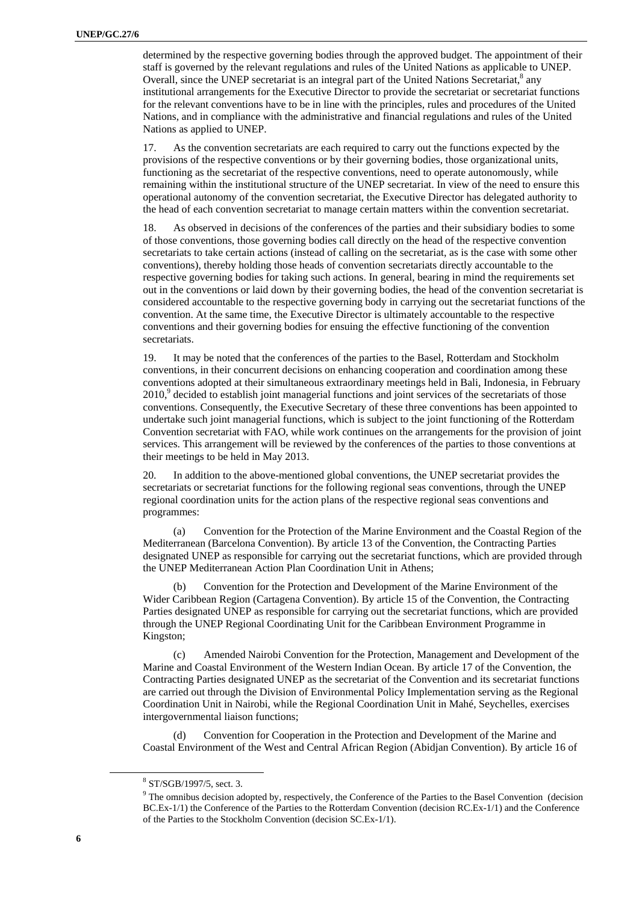determined by the respective governing bodies through the approved budget. The appointment of their staff is governed by the relevant regulations and rules of the United Nations as applicable to UNEP. Overall, since the UNEP secretariat is an integral part of the United Nations Secretariat, $^8$  any institutional arrangements for the Executive Director to provide the secretariat or secretariat functions for the relevant conventions have to be in line with the principles, rules and procedures of the United Nations, and in compliance with the administrative and financial regulations and rules of the United Nations as applied to UNEP.

17. As the convention secretariats are each required to carry out the functions expected by the provisions of the respective conventions or by their governing bodies, those organizational units, functioning as the secretariat of the respective conventions, need to operate autonomously, while remaining within the institutional structure of the UNEP secretariat. In view of the need to ensure this operational autonomy of the convention secretariat, the Executive Director has delegated authority to the head of each convention secretariat to manage certain matters within the convention secretariat.

18. As observed in decisions of the conferences of the parties and their subsidiary bodies to some of those conventions, those governing bodies call directly on the head of the respective convention secretariats to take certain actions (instead of calling on the secretariat, as is the case with some other conventions), thereby holding those heads of convention secretariats directly accountable to the respective governing bodies for taking such actions. In general, bearing in mind the requirements set out in the conventions or laid down by their governing bodies, the head of the convention secretariat is considered accountable to the respective governing body in carrying out the secretariat functions of the convention. At the same time, the Executive Director is ultimately accountable to the respective conventions and their governing bodies for ensuing the effective functioning of the convention secretariats.

19. It may be noted that the conferences of the parties to the Basel, Rotterdam and Stockholm conventions, in their concurrent decisions on enhancing cooperation and coordination among these conventions adopted at their simultaneous extraordinary meetings held in Bali, Indonesia, in February 2010,<sup>9</sup> decided to establish joint managerial functions and joint services of the secretariats of those conventions. Consequently, the Executive Secretary of these three conventions has been appointed to undertake such joint managerial functions, which is subject to the joint functioning of the Rotterdam Convention secretariat with FAO, while work continues on the arrangements for the provision of joint services. This arrangement will be reviewed by the conferences of the parties to those conventions at their meetings to be held in May 2013.

20. In addition to the above-mentioned global conventions, the UNEP secretariat provides the secretariats or secretariat functions for the following regional seas conventions, through the UNEP regional coordination units for the action plans of the respective regional seas conventions and programmes:

(a) Convention for the Protection of the Marine Environment and the Coastal Region of the Mediterranean (Barcelona Convention). By article 13 of the Convention, the Contracting Parties designated UNEP as responsible for carrying out the secretariat functions, which are provided through the UNEP Mediterranean Action Plan Coordination Unit in Athens;

(b) Convention for the Protection and Development of the Marine Environment of the Wider Caribbean Region (Cartagena Convention). By article 15 of the Convention, the Contracting Parties designated UNEP as responsible for carrying out the secretariat functions, which are provided through the UNEP Regional Coordinating Unit for the Caribbean Environment Programme in Kingston;

(c) Amended Nairobi Convention for the Protection, Management and Development of the Marine and Coastal Environment of the Western Indian Ocean. By article 17 of the Convention, the Contracting Parties designated UNEP as the secretariat of the Convention and its secretariat functions are carried out through the Division of Environmental Policy Implementation serving as the Regional Coordination Unit in Nairobi, while the Regional Coordination Unit in Mahé, Seychelles, exercises intergovernmental liaison functions;

(d) Convention for Cooperation in the Protection and Development of the Marine and Coastal Environment of the West and Central African Region (Abidjan Convention). By article 16 of

 $\frac{1}{8}$ <sup>8</sup> ST/SGB/1997/5, sect. 3.

<sup>&</sup>lt;sup>9</sup> The omnibus decision adopted by, respectively, the Conference of the Parties to the Basel Convention (decision BC.Ex-1/1) the Conference of the Parties to the Rotterdam Convention (decision RC.Ex-1/1) and the Conference of the Parties to the Stockholm Convention (decision SC.Ex-1/1).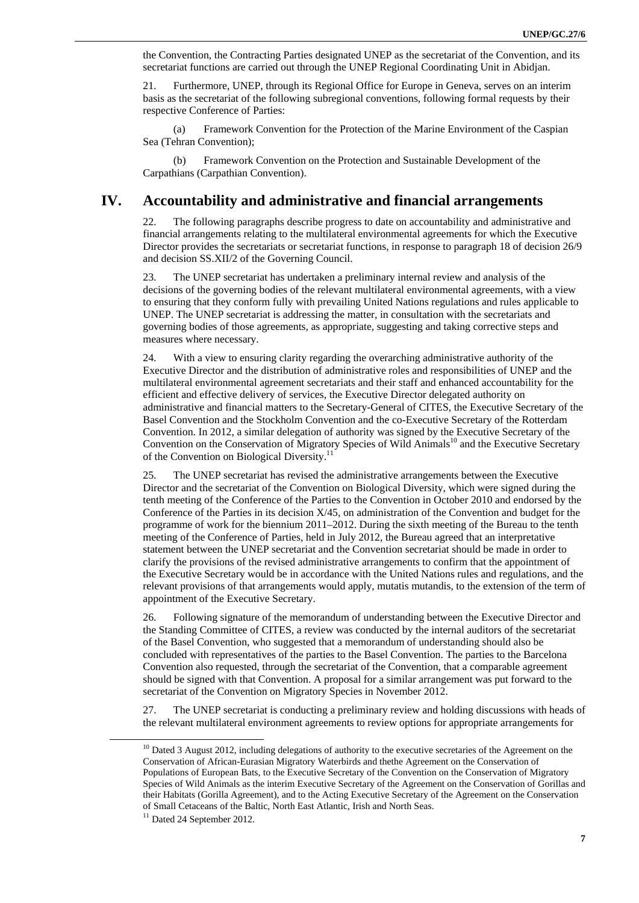the Convention, the Contracting Parties designated UNEP as the secretariat of the Convention, and its secretariat functions are carried out through the UNEP Regional Coordinating Unit in Abidjan.

21. Furthermore, UNEP, through its Regional Office for Europe in Geneva, serves on an interim basis as the secretariat of the following subregional conventions, following formal requests by their respective Conference of Parties:

(a) Framework Convention for the Protection of the Marine Environment of the Caspian Sea (Tehran Convention);

(b) Framework Convention on the Protection and Sustainable Development of the Carpathians (Carpathian Convention).

#### **IV. Accountability and administrative and financial arrangements**

22. The following paragraphs describe progress to date on accountability and administrative and financial arrangements relating to the multilateral environmental agreements for which the Executive Director provides the secretariats or secretariat functions, in response to paragraph 18 of decision 26/9 and decision SS.XII/2 of the Governing Council.

23. The UNEP secretariat has undertaken a preliminary internal review and analysis of the decisions of the governing bodies of the relevant multilateral environmental agreements, with a view to ensuring that they conform fully with prevailing United Nations regulations and rules applicable to UNEP. The UNEP secretariat is addressing the matter, in consultation with the secretariats and governing bodies of those agreements, as appropriate, suggesting and taking corrective steps and measures where necessary.

24. With a view to ensuring clarity regarding the overarching administrative authority of the Executive Director and the distribution of administrative roles and responsibilities of UNEP and the multilateral environmental agreement secretariats and their staff and enhanced accountability for the efficient and effective delivery of services, the Executive Director delegated authority on administrative and financial matters to the Secretary-General of CITES, the Executive Secretary of the Basel Convention and the Stockholm Convention and the co-Executive Secretary of the Rotterdam Convention. In 2012, a similar delegation of authority was signed by the Executive Secretary of the Convention on the Conservation of Migratory Species of Wild Animals<sup>10</sup> and the Executive Secretary of the Convention on Biological Diversity.<sup>11</sup>

25. The UNEP secretariat has revised the administrative arrangements between the Executive Director and the secretariat of the Convention on Biological Diversity, which were signed during the tenth meeting of the Conference of the Parties to the Convention in October 2010 and endorsed by the Conference of the Parties in its decision X/45, on administration of the Convention and budget for the programme of work for the biennium 2011–2012. During the sixth meeting of the Bureau to the tenth meeting of the Conference of Parties, held in July 2012, the Bureau agreed that an interpretative statement between the UNEP secretariat and the Convention secretariat should be made in order to clarify the provisions of the revised administrative arrangements to confirm that the appointment of the Executive Secretary would be in accordance with the United Nations rules and regulations, and the relevant provisions of that arrangements would apply, mutatis mutandis, to the extension of the term of appointment of the Executive Secretary.

26. Following signature of the memorandum of understanding between the Executive Director and the Standing Committee of CITES, a review was conducted by the internal auditors of the secretariat of the Basel Convention, who suggested that a memorandum of understanding should also be concluded with representatives of the parties to the Basel Convention. The parties to the Barcelona Convention also requested, through the secretariat of the Convention, that a comparable agreement should be signed with that Convention. A proposal for a similar arrangement was put forward to the secretariat of the Convention on Migratory Species in November 2012.

27. The UNEP secretariat is conducting a preliminary review and holding discussions with heads of the relevant multilateral environment agreements to review options for appropriate arrangements for

 $10$  Dated 3 August 2012, including delegations of authority to the executive secretaries of the Agreement on the Conservation of African-Eurasian Migratory Waterbirds and thethe Agreement on the Conservation of Populations of European Bats, to the Executive Secretary of the Convention on the Conservation of Migratory Species of Wild Animals as the interim Executive Secretary of the Agreement on the Conservation of Gorillas and their Habitats (Gorilla Agreement), and to the Acting Executive Secretary of the Agreement on the Conservation of Small Cetaceans of the Baltic, North East Atlantic, Irish and North Seas.

<sup>&</sup>lt;sup>11</sup> Dated 24 September 2012.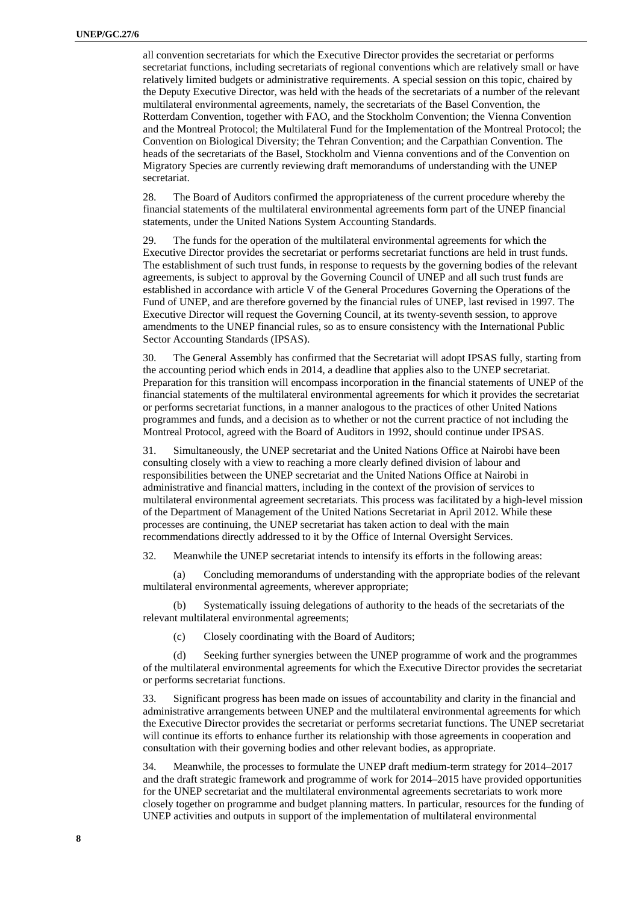all convention secretariats for which the Executive Director provides the secretariat or performs secretariat functions, including secretariats of regional conventions which are relatively small or have relatively limited budgets or administrative requirements. A special session on this topic, chaired by the Deputy Executive Director, was held with the heads of the secretariats of a number of the relevant multilateral environmental agreements, namely, the secretariats of the Basel Convention, the Rotterdam Convention, together with FAO, and the Stockholm Convention; the Vienna Convention and the Montreal Protocol; the Multilateral Fund for the Implementation of the Montreal Protocol; the Convention on Biological Diversity; the Tehran Convention; and the Carpathian Convention. The heads of the secretariats of the Basel, Stockholm and Vienna conventions and of the Convention on Migratory Species are currently reviewing draft memorandums of understanding with the UNEP secretariat.

28. The Board of Auditors confirmed the appropriateness of the current procedure whereby the financial statements of the multilateral environmental agreements form part of the UNEP financial statements, under the United Nations System Accounting Standards.

29. The funds for the operation of the multilateral environmental agreements for which the Executive Director provides the secretariat or performs secretariat functions are held in trust funds. The establishment of such trust funds, in response to requests by the governing bodies of the relevant agreements, is subject to approval by the Governing Council of UNEP and all such trust funds are established in accordance with article V of the General Procedures Governing the Operations of the Fund of UNEP, and are therefore governed by the financial rules of UNEP, last revised in 1997. The Executive Director will request the Governing Council, at its twenty-seventh session, to approve amendments to the UNEP financial rules, so as to ensure consistency with the International Public Sector Accounting Standards (IPSAS).

30. The General Assembly has confirmed that the Secretariat will adopt IPSAS fully, starting from the accounting period which ends in 2014, a deadline that applies also to the UNEP secretariat. Preparation for this transition will encompass incorporation in the financial statements of UNEP of the financial statements of the multilateral environmental agreements for which it provides the secretariat or performs secretariat functions, in a manner analogous to the practices of other United Nations programmes and funds, and a decision as to whether or not the current practice of not including the Montreal Protocol, agreed with the Board of Auditors in 1992, should continue under IPSAS.

31. Simultaneously, the UNEP secretariat and the United Nations Office at Nairobi have been consulting closely with a view to reaching a more clearly defined division of labour and responsibilities between the UNEP secretariat and the United Nations Office at Nairobi in administrative and financial matters, including in the context of the provision of services to multilateral environmental agreement secretariats. This process was facilitated by a high-level mission of the Department of Management of the United Nations Secretariat in April 2012. While these processes are continuing, the UNEP secretariat has taken action to deal with the main recommendations directly addressed to it by the Office of Internal Oversight Services.

32. Meanwhile the UNEP secretariat intends to intensify its efforts in the following areas:

(a) Concluding memorandums of understanding with the appropriate bodies of the relevant multilateral environmental agreements, wherever appropriate;

(b) Systematically issuing delegations of authority to the heads of the secretariats of the relevant multilateral environmental agreements;

(c) Closely coordinating with the Board of Auditors;

(d) Seeking further synergies between the UNEP programme of work and the programmes of the multilateral environmental agreements for which the Executive Director provides the secretariat or performs secretariat functions.

33. Significant progress has been made on issues of accountability and clarity in the financial and administrative arrangements between UNEP and the multilateral environmental agreements for which the Executive Director provides the secretariat or performs secretariat functions. The UNEP secretariat will continue its efforts to enhance further its relationship with those agreements in cooperation and consultation with their governing bodies and other relevant bodies, as appropriate.

34. Meanwhile, the processes to formulate the UNEP draft medium-term strategy for 2014–2017 and the draft strategic framework and programme of work for 2014–2015 have provided opportunities for the UNEP secretariat and the multilateral environmental agreements secretariats to work more closely together on programme and budget planning matters. In particular, resources for the funding of UNEP activities and outputs in support of the implementation of multilateral environmental